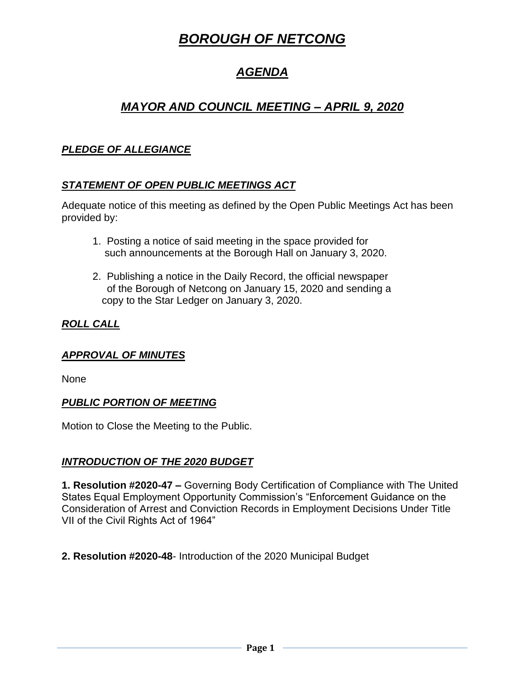# *BOROUGH OF NETCONG*

# *AGENDA*

# *MAYOR AND COUNCIL MEETING – APRIL 9, 2020*

# *PLEDGE OF ALLEGIANCE*

## *STATEMENT OF OPEN PUBLIC MEETINGS ACT*

Adequate notice of this meeting as defined by the Open Public Meetings Act has been provided by:

- 1. Posting a notice of said meeting in the space provided for such announcements at the Borough Hall on January 3, 2020.
- 2. Publishing a notice in the Daily Record, the official newspaper of the Borough of Netcong on January 15, 2020 and sending a copy to the Star Ledger on January 3, 2020.

## *ROLL CALL*

### *APPROVAL OF MINUTES*

None

### *PUBLIC PORTION OF MEETING*

Motion to Close the Meeting to the Public.

### *INTRODUCTION OF THE 2020 BUDGET*

**1. Resolution #2020-47 –** Governing Body Certification of Compliance with The United States Equal Employment Opportunity Commission's "Enforcement Guidance on the Consideration of Arrest and Conviction Records in Employment Decisions Under Title VII of the Civil Rights Act of 1964"

**2. Resolution #2020-48**- Introduction of the 2020 Municipal Budget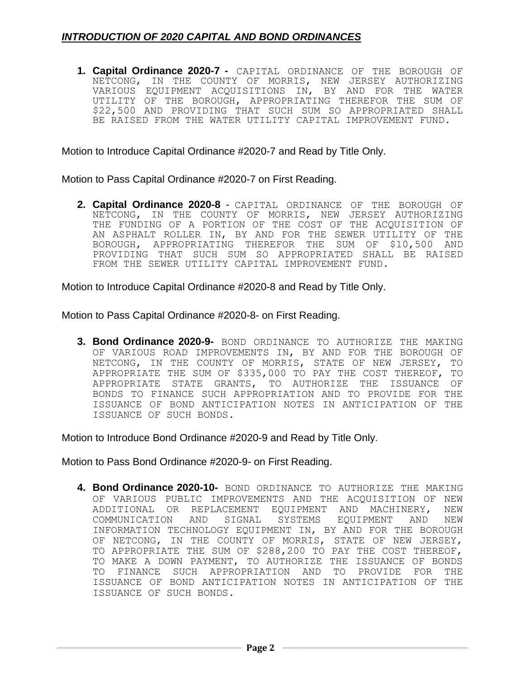**1. Capital Ordinance 2020-7 -** CAPITAL ORDINANCE OF THE BOROUGH OF NETCONG, IN THE COUNTY OF MORRIS, NEW JERSEY AUTHORIZING VARIOUS EQUIPMENT ACQUISITIONS IN, BY AND FOR THE WATER UTILITY OF THE BOROUGH, APPROPRIATING THEREFOR THE SUM OF \$22,500 AND PROVIDING THAT SUCH SUM SO APPROPRIATED SHALL BE RAISED FROM THE WATER UTILITY CAPITAL IMPROVEMENT FUND.

Motion to Introduce Capital Ordinance #2020-7 and Read by Title Only.

Motion to Pass Capital Ordinance #2020-7 on First Reading.

**2. Capital Ordinance 2020-8** - CAPITAL ORDINANCE OF THE BOROUGH OF NETCONG, IN THE COUNTY OF MORRIS, NEW JERSEY AUTHORIZING THE FUNDING OF A PORTION OF THE COST OF THE ACQUISITION OF AN ASPHALT ROLLER IN, BY AND FOR THE SEWER UTILITY OF THE BOROUGH, APPROPRIATING THEREFOR THE SUM OF \$10,500 AND PROVIDING THAT SUCH SUM SO APPROPRIATED SHALL BE RAISED FROM THE SEWER UTILITY CAPITAL IMPROVEMENT FUND.

Motion to Introduce Capital Ordinance #2020-8 and Read by Title Only.

Motion to Pass Capital Ordinance #2020-8- on First Reading.

**3. Bond Ordinance 2020-9-** BOND ORDINANCE TO AUTHORIZE THE MAKING OF VARIOUS ROAD IMPROVEMENTS IN, BY AND FOR THE BOROUGH OF NETCONG, IN THE COUNTY OF MORRIS, STATE OF NEW JERSEY, TO APPROPRIATE THE SUM OF \$335,000 TO PAY THE COST THEREOF, TO APPROPRIATE STATE GRANTS, TO AUTHORIZE THE ISSUANCE OF BONDS TO FINANCE SUCH APPROPRIATION AND TO PROVIDE FOR THE ISSUANCE OF BOND ANTICIPATION NOTES IN ANTICIPATION OF THE ISSUANCE OF SUCH BONDS.

Motion to Introduce Bond Ordinance #2020-9 and Read by Title Only.

Motion to Pass Bond Ordinance #2020-9- on First Reading.

**4. Bond Ordinance 2020-10-** BOND ORDINANCE TO AUTHORIZE THE MAKING OF VARIOUS PUBLIC IMPROVEMENTS AND THE ACQUISITION OF NEW ADDITIONAL OR REPLACEMENT EQUIPMENT AND MACHINERY, NEW COMMUNICATION AND SIGNAL SYSTEMS EQUIPMENT AND NEW INFORMATION TECHNOLOGY EQUIPMENT IN, BY AND FOR THE BOROUGH OF NETCONG, IN THE COUNTY OF MORRIS, STATE OF NEW JERSEY, TO APPROPRIATE THE SUM OF \$288,200 TO PAY THE COST THEREOF, TO MAKE A DOWN PAYMENT, TO AUTHORIZE THE ISSUANCE OF BONDS TO FINANCE SUCH APPROPRIATION AND TO PROVIDE FOR THE ISSUANCE OF BOND ANTICIPATION NOTES IN ANTICIPATION OF THE ISSUANCE OF SUCH BONDS.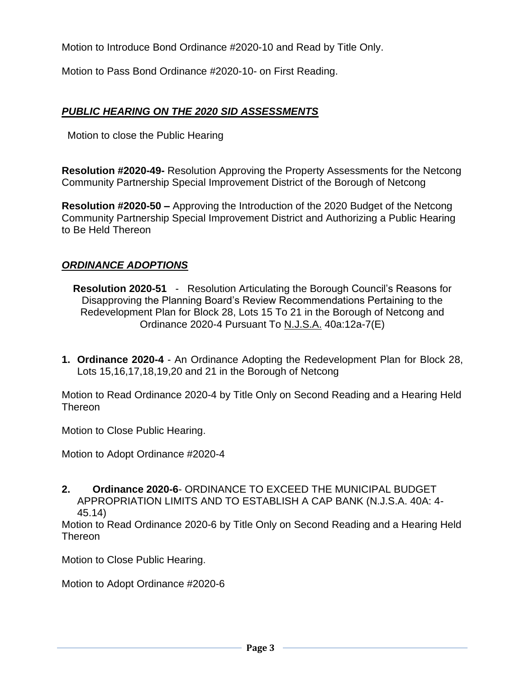Motion to Introduce Bond Ordinance #2020-10 and Read by Title Only.

Motion to Pass Bond Ordinance #2020-10- on First Reading.

## *PUBLIC HEARING ON THE 2020 SID ASSESSMENTS*

Motion to close the Public Hearing

**Resolution #2020-49-** Resolution Approving the Property Assessments for the Netcong Community Partnership Special Improvement District of the Borough of Netcong

**Resolution #2020-50 –** Approving the Introduction of the 2020 Budget of the Netcong Community Partnership Special Improvement District and Authorizing a Public Hearing to Be Held Thereon

## *ORDINANCE ADOPTIONS*

**Resolution 2020-51** - Resolution Articulating the Borough Council's Reasons for Disapproving the Planning Board's Review Recommendations Pertaining to the Redevelopment Plan for Block 28, Lots 15 To 21 in the Borough of Netcong and Ordinance 2020-4 Pursuant To N.J.S.A. 40a:12a-7(E)

**1. Ordinance 2020-4** - An Ordinance Adopting the Redevelopment Plan for Block 28, Lots 15,16,17,18,19,20 and 21 in the Borough of Netcong

Motion to Read Ordinance 2020-4 by Title Only on Second Reading and a Hearing Held Thereon

Motion to Close Public Hearing.

Motion to Adopt Ordinance #2020-4

**2. Ordinance 2020-6**- ORDINANCE TO EXCEED THE MUNICIPAL BUDGET APPROPRIATION LIMITS AND TO ESTABLISH A CAP BANK (N.J.S.A. 40A: 4- 45.14)

Motion to Read Ordinance 2020-6 by Title Only on Second Reading and a Hearing Held **Thereon** 

Motion to Close Public Hearing.

Motion to Adopt Ordinance #2020-6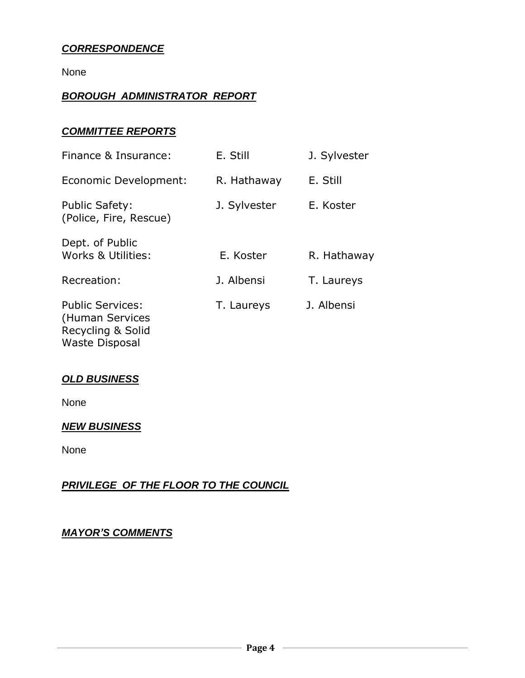## *CORRESPONDENCE*

None

### *BOROUGH ADMINISTRATOR REPORT*

### *COMMITTEE REPORTS*

| Finance & Insurance:                            | E. Still     | J. Sylvester |
|-------------------------------------------------|--------------|--------------|
| Economic Development:                           | R. Hathaway  | E. Still     |
| <b>Public Safety:</b><br>(Police, Fire, Rescue) | J. Sylvester | E. Koster    |
| Dept. of Public<br>Works & Utilities:           | E. Koster    | R. Hathaway  |
| Recreation:                                     | J. Albensi   | T. Laureys   |
| <b>Public Services:</b><br>(Human Services      | T. Laureys   | J. Albensi   |

Recycling & Solid Waste Disposal

### *OLD BUSINESS*

None

### *NEW BUSINESS*

None

## *PRIVILEGE OF THE FLOOR TO THE COUNCIL*

#### *MAYOR'S COMMENTS*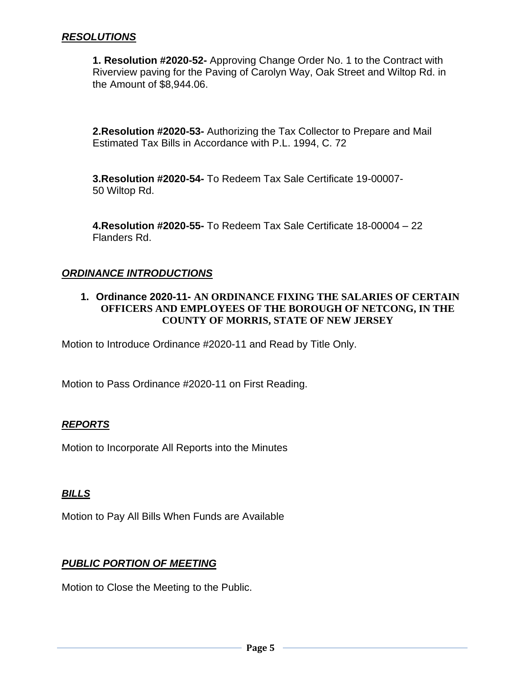#### *RESOLUTIONS*

**1. Resolution #2020-52-** Approving Change Order No. 1 to the Contract with Riverview paving for the Paving of Carolyn Way, Oak Street and Wiltop Rd. in the Amount of \$8,944.06.

**2.Resolution #2020-53-** Authorizing the Tax Collector to Prepare and Mail Estimated Tax Bills in Accordance with P.L. 1994, C. 72

**3.Resolution #2020-54-** To Redeem Tax Sale Certificate 19-00007- 50 Wiltop Rd.

**4.Resolution #2020-55-** To Redeem Tax Sale Certificate 18-00004 – 22 Flanders Rd.

### *ORDINANCE INTRODUCTIONS*

#### **1. Ordinance 2020-11- AN ORDINANCE FIXING THE SALARIES OF CERTAIN OFFICERS AND EMPLOYEES OF THE BOROUGH OF NETCONG, IN THE COUNTY OF MORRIS, STATE OF NEW JERSEY**

Motion to Introduce Ordinance #2020-11 and Read by Title Only.

Motion to Pass Ordinance #2020-11 on First Reading.

#### *REPORTS*

Motion to Incorporate All Reports into the Minutes

#### *BILLS*

Motion to Pay All Bills When Funds are Available

#### *PUBLIC PORTION OF MEETING*

Motion to Close the Meeting to the Public.